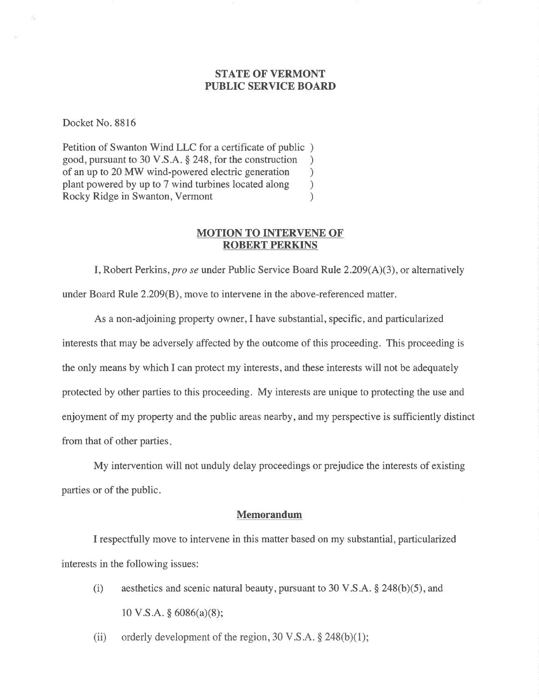### STATE OF VERMONT PUBLIC SERVICE BOARD

Docket No. 8816

Petition of Swanton Wind LLC for a certificate of public ) good, pursuant to 30 V.S.A. § 248, for the construction )<br>of an up to 20 MW wind-powered electric generation of an up to 20 MW wind-powered electric generation <br>plant powered by up to 7 wind turbines located along ) plant powered by up to 7 wind turbines located along (a) Rocky Ridge in Swanton, Vermont Rocky Ridge in Swanton, Vermont

#### MOTION TO INTERVENE OF ROBERT PERKINS

I, Robert Perkins, *pro se* under Public Service Board Rule  $2.209(A)(3)$ , or alternatively under Board Rule 2.209(B), move to intervene in the above-referenced matter.

As a non-adjoining property owner,I have substantial, specific, and particularized interests that may be adversely affected by the outcome of this proceeding. This proceeding is the only means by which I can protect my interests, and these interests will not be adequately protected by other parties to this proceeding. My interests are unique to protecting the use and enjoyment of my property and the public areas nearby, and my perspective is sufficiently distinct from that of other parties

My intervention will not unduly delay proceedings or prejudice the interests of existing parties or of the public.

#### Memorandum

I respectfully move to intervene in this matter based on my substantial, particularized interests in the following issues:

- (i) aesthetics and scenic natural beauty, pursuant to 30 V.S.A.  $\S$  248(b)(5), and  $10 \text{ V.S.A. }$ § 6086(a)(8);
- (ii) orderly development of the region,  $30 \text{ V.S.A.}$  \$ 248(b)(1);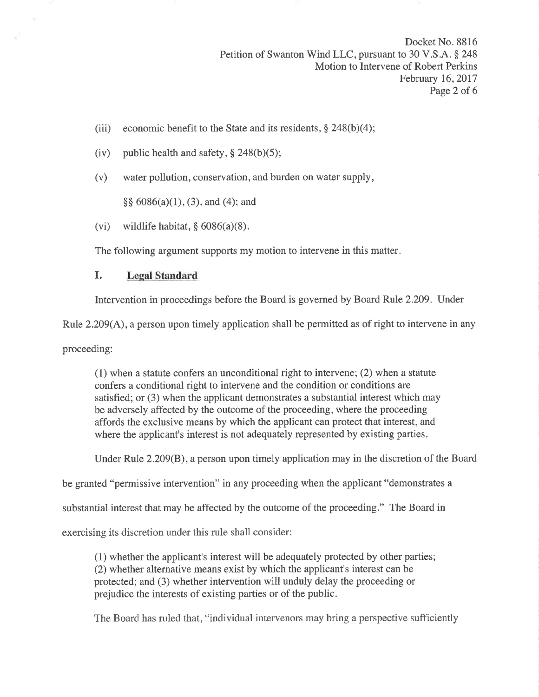Docket No. 8816 Petition of Swanton Wind LLC, pursuant to 30 V.S.A. § 248 Motion to Intervene of Robert Perkins February 16,2017 Page 2 of 6

- (iii) economic benefit to the State and its residents,  $\S$  248(b)(4);
- (iv) public health and safety,  $\S$  248(b)(5);
- (v) water pollution, conservation, and burden on water supply,

 $\S\S 6086(a)(1), (3),$  and (4); and

(vi) wildlife habitat,  $\S 6086(a)(8)$ .

The following argument supports my motion to intervene in this matter.

## I. Legal Standard

Intervention in proceedings before the Board is governed by Board Rule 2.209. Under

Rule 2.209(A), a person upon timely application shall be permitted as of right to intervene in any

proceeding:

(1) when a statute confers an unconditional right to intervene; (2) when a statute confers a conditional right to intervene and the condition or conditions are satisfied; or (3) when the applicant demonstrates a substantial interest which may be adversely affected by the outcome of the proceeding, where the proceeding affords the exclusive means by which the applicant can protect that interest, and where the applicant's interest is not adequately represented by existing parties.

Under Rule 2.209(B), a person upon timely application may in the discretion of the Board

be granted "permissive intervention" in any proceeding when the applicant "demonstrates a

substantial interest that may be affected by the outcome of the proceeding." The Board in

exercising its discretion under this rule shall consider:

(1) whether the applicant's interest will be adequately protected by other parties; (2) whether alternative means exist by which the applicant's interest can be protected; and (3) whether intervention will unduly delay the proceeding or prejudice the interests of existing parties or of the public.

The Board has ruled that, "individual intervenors may bring a perspective sufficiently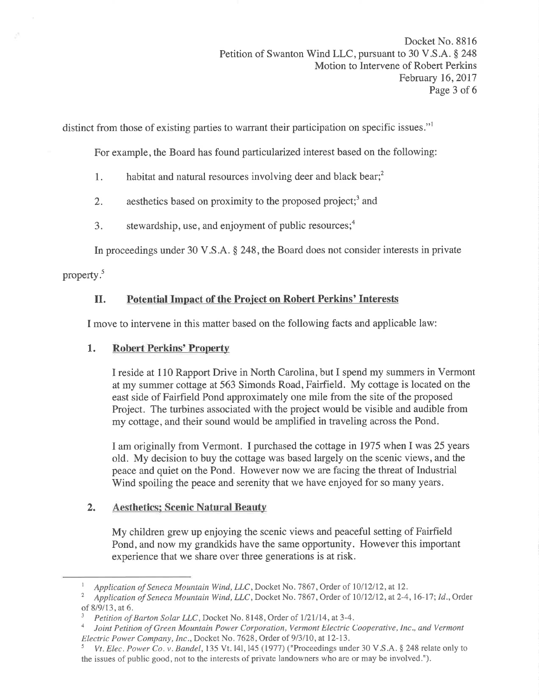distinct from those of existing parties to warrant their participation on specific issues."

For example, the Board has found particularized interest based on the following:

- 1. habitat and natural resources involving deer and black bear; $<sup>2</sup>$ </sup>
- 2. aesthetics based on proximity to the proposed project;<sup>3</sup> and
- 3. stewardship, use, and enjoyment of public resources; $<sup>4</sup>$ </sup>

In proceedings under 30 V.S.A. \$ 248, the Board does not consider interests in private

property.<sup>5</sup>

# II. Potential Impact of the Project on Robert Perkins' Interests

I move to intervene in this matter based on the following facts and applicable law:

## 1. Robert Perkins' Property

I reside at 110 Rapport Drive in North Carolina, but I spend my summers in Vermont at my summer cottage at 563 Simonds Road, Fairfield. My cottage is located on the east side of Fairfield Pond approximately one mile from the site of the proposed Project. The turbines associated with the project would be visible and audible from my cottage, and their sound would be amplified in traveling across the Pond.

I am originally from Vermont. I purchased the cottage in 1975 when I was 25 years old. My decision to buy the cottage was based largely on the scenic views, and the peace and quiet on the Pond. However now we are facing the threat of Industrial Wind spoiling the peace and serenity that we have enjoyed for so many years.

## 2. Aesthetics; Scenic Natural Beauty

My children grew up enjoying the scenic views and peaceful setting of Fairfield Pond, and now my grandkids have the same opportunity. However this important experience that we share over three generations is at risk.

<sup>&</sup>lt;sup>1</sup> Application of Seneca Mountain Wind, LLC, Docket No. 7867, Order of 10/12/12, at 12.<br><sup>2</sup> Application of Seneca Mountain Wind, LLC, Docket No. 7867, Order of 10/12/12, at 2-4, 16-17; Id., Order

of 8/9/13, at 6.<br><sup>3</sup> Petition of Barton Solar LLC, Docket No. 8148, Order of 1/21/14, at 3-4.<br><sup>4</sup> Loint Petition of Green Mountain Power Cornoration, Vermont Electric C

<sup>&</sup>lt;sup>4</sup> Joint Petition of Green Mountain Power Corporation, Vermont Electric Cooperative, Inc., and Vermont Electric Power Company, Inc., Docket No. 7628, Order of 9/3/10, at 12-13.

Vt. Elec. Power Co. v. Bandel, 135 Vt. 141, 145 (1977) ("Proceedings under 30 V.S.A.  $\S$  248 relate only to the issues of public good, not to the interests of private landowners who are or may be involved.").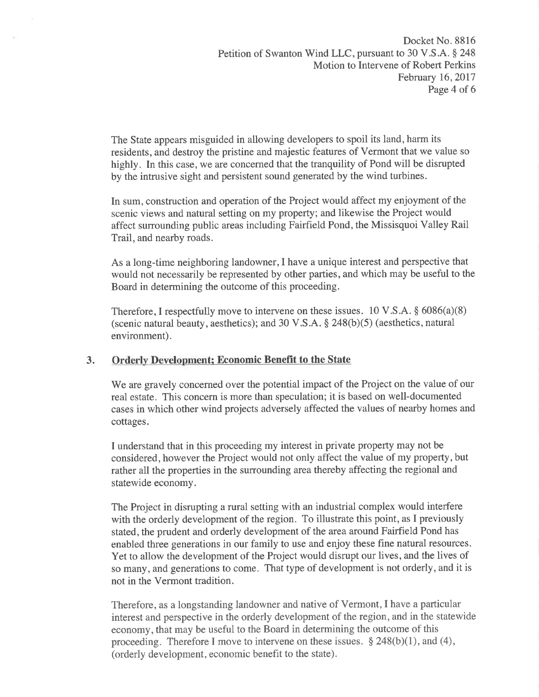The State appears misguided in allowing developers to spoil its land, harm its residents, and destroy the pristine and majestic features of Vermont that we value so highly. In this case, we are concerned that the tranquility of Pond will be disrupted by the intrusive sight and persistent sound generated by the wind turbines.

In sum, construction and operation of the Project would affect my enjoyment of the scenic views and natural setting on my property; and likewise the Project would affect surrounding public areas including Fairfield Pond, the Missisquoi Valley Rail Trail, and nearby roads.

As a long-time neighboring landowner,I have a unique interest and perspective that would not necessarily be represented by other parties, and which may be useful to the Board in determining the outcome of this proceeding.

Therefore, I respectfully move to intervene on these issues.  $10 \text{ V.S.A.}$  \$  $6086(a)(8)$ (scenic natural beauty, aesthetics); and 30 V.S.A.  $\S$  248(b)(5) (aesthetics, natural environment).

### 3. Orderly Development; Economic Benefit to the State

We are gravely concerned over the potential impact of the Project on the value of our real estate. This concern is more than speculation; it is based on well-documented cases in which other wind projects adversely affected the values of nearby homes and cottages.

I understand that in this proceeding my interest in private property may not be considered, however the Project would not only affect the value of my property, but rather all the properties in the surrounding area thereby affecting the regional and statewide economy.

The Project in disrupting a rural setting with an industrial complex would interfere with the orderly development of the region. To illustrate this point, as I previously stated, the prudent and orderly development of the area around Fairfield Pond has enabled three generations in our family to use and enjoy these fine natural resources. Yet to allow the development of the Project would disrupt our lives, and the lives of so many, and generations to come. That type of development is not orderly, and it is not in the Vermont tradition.

Therefore, as a longstanding landowner and native of Vermont, I have a particular interest and perspective in the orderly development of the region, and in the statewide economy, that may be useful to the Board in determining the outcome of this proceeding. Therefore I move to intervene on these issues.  $\S 248(b)(1)$ , and (4), (orderly development, economic benefit to the state).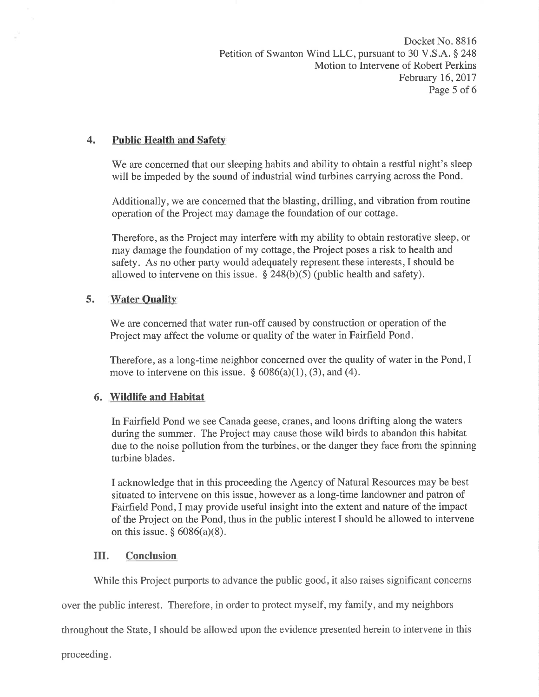Docket No. 8816 Petition of Swanton Wind LLC, pursuant to 30 V.S.A. § 248 Motion to Intervene of Robert Perkins February 16,2017 Page 5 of 6

### 4. Public Health and Safety

We are concerned that our sleeping habits and ability to obtain a restful night's sleep will be impeded by the sound of industrial wind turbines carrying across the Pond.

Additionally, we are concerned that the blasting, drilling, and vibration from routine operation of the Project may damage the foundation of our cottage.

Therefore, as the Project may interfere with my ability to obtain restorative sleep, or may damage the foundation of my cottage, the Project poses a risk to health and safety. As no other party would adequately represent these interests, I should be allowed to intervene on this issue.  $\S$  248(b)(5) (public health and safety).

## 5. Water Quality

We are concerned that water run-off caused by construction or operation of the Project may affect the volume or quality of the water in Fairfield Pond.

Therefore, as a long-time neighbor concerned over the quality of water in the Pond, I move to intervene on this issue.  $\S 6086(a)(1)$ , (3), and (4).

## 6. Wildlife and Habitat

In Fairfield Pond we see Canada geese, cranes, and loons drifting along the waters during the summer. The Project may cause those wild birds to abandon this habitat due to the noise pollution from the turbines, or the danger they face from the spinning turbine blades.

I acknowledge that in this proceeding the Agency of Natural Resources may be best situated to intervene on this issue, however as a long-time landowner and patron of Fairfield Pond, I may provide useful insight into the extent and nature of the impact of the Project on the Pond, thus in the public interest I should be allowed to intervene on this issue.  $§ 6086(a)(8)$ .

### III. Conclusion

While this Project purports to advance the public good, it also raises significant concerns

over the public interest. Therefore, in order to protect myself, my family, and my neighbors

throughout the State,I should be allowed upon the evidence presented herein to intervene in this

proceeding.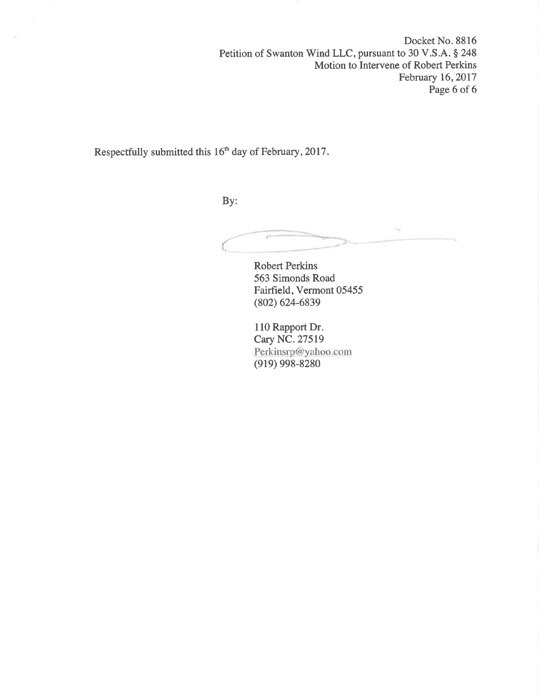Docket No. 8816 Petition of Swanton Wind LLC, pursuant to 30 V.S.A. § 248 Motion to Intervene of Robert Perkins February 16, 2017 Page 6 of 6

Respectfully submitted this 16'h day of February,2Ol7.

By:

Robert Perkins 563 Simonds Road Fairfield, Vermont 05455 (802) 624-6839

110 Rapport Dr. Cary NC. 27519 Perkinsrp@yahoo.com (919) 998-8280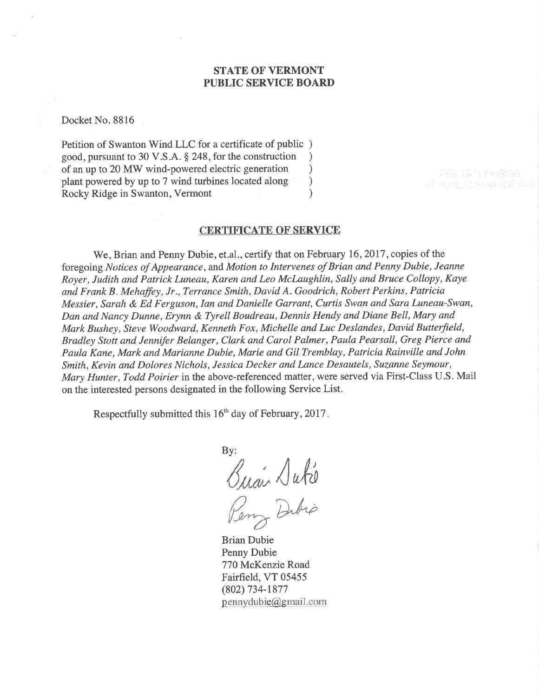#### STATE OF VERMONT PUBLIC SERVICE BOARD

Docket No. 8816

Petition of Swanton Wind LLC for a certificate of public ) good, pursuant to 30 V.S.A. \$ 248, for the construction ) of an up to 20 MW wind-powered electric generation <br>plant powered by up to 7 wind turbines located along plant powered by up to 7 wind turbines located along ) Rocky Ridge in Swanton, Vermont (1998)

#### CERTIFICATE OF SERVICE

We, Brian and Penny Dubie, et.al., certify that on February 16, 2017, copies of the foregoing Notices of Appearance, and Motion to Intervenes of Brian and Penny Dubie, Jeanne Royer, Judith and Patrick Luneau, Karen and Leo Mclaughlin, Sally and Bruce Collopy, Kaye and Frank B. Mehaffey, Jr., Terrance Smith, David A. Goodrich, Robert Perkins, Patricia Messier, Sarah & Ed Ferguson, Ian and Danielle Garrant, Curtis Swan and Sara Luneau-Swan, Dan and Nancy Dunne, Erynn & Tyrell Boudreau, Dennis Hendy and Diane Bell, Mary and Mark Bushey, Steve Woodward, Kenneth Fox, Michelle and Luc Deslandes, David Butterfield, Bradley Stott and Jenniþr Belanger, Clark and Carol Palmer, Paula Pearsall, Greg Pierce and Paula Kane, Mark and Marianne Dubie, Marie and Gil Tremblay, Patricia Rainville and John Smith, Kevin and Dolores Nichols, Jessica Decker and Lance Desautels, Suzanne Seymour, Mary Hunter, Todd Poirier in the above-referenced matter, were served via First-Class U.S. Mail on the interested persons designated in the following Service List.

Respectfully submitted this  $16<sup>th</sup>$  day of February, 2017.

By:  $\sqrt{u}$ Dubio

Brian Dubie Penny Dubie 770 McKenzie Road Fairfield, VT 05455 (802) 734-1877  $p$ ennydubie  $a$ gmail. com